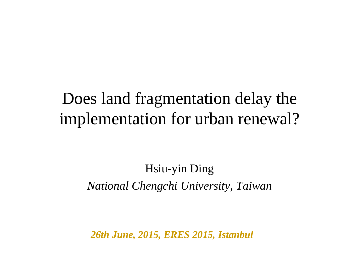### Does land fragmentation delay the implementation for urban renewal?

#### Hsiu-yin Ding *National Chengchi University, Taiwan*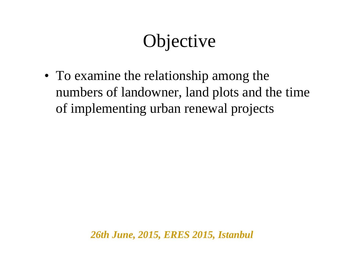## **Objective**

• To examine the relationship among the numbers of landowner, land plots and the time of implementing urban renewal projects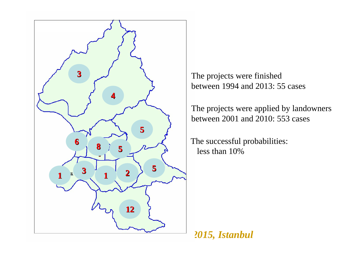

The projects were finished between 1994 and 2013: 55 cases

The projects were applied by landowners between 2001 and 2010: 553 cases

The successful probabilities: less than 10%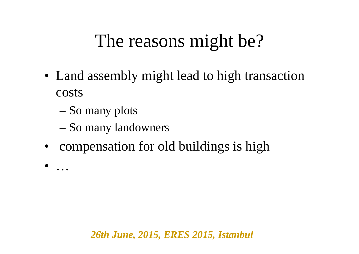## The reasons might be?

- Land assembly might lead to high transaction costs
	- –So many plots

•

…

- –So many landowners
- •compensation for old buildings is high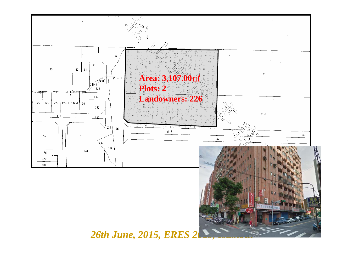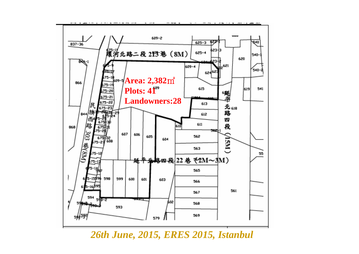

*26th June, 2015, ERES 2015, Istanbul*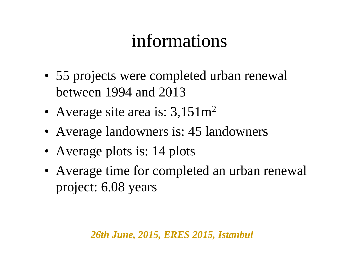## informations

- 55 projects were completed urban renewal between 1994 and 2013
- Average site area is:  $3{,}151m^2$
- Average landowners is: 45 landowners
- Average plots is: 14 plots
- Average time for completed an urban renewal project: 6.08 years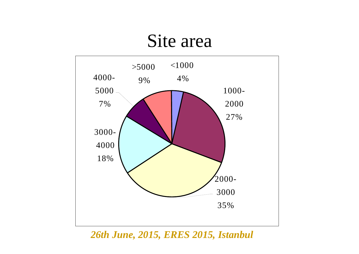### Site area



*26th June, 2015, ERES 2015, Istanbul*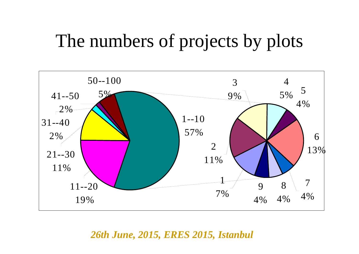## The numbers of projects by plots

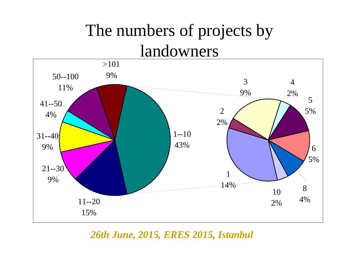### The numbers of projects by landowners

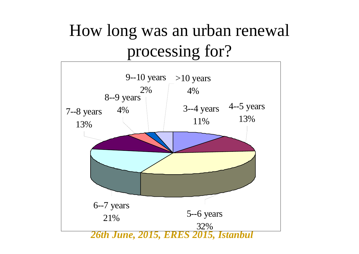### How long was an urban renewal processing for?

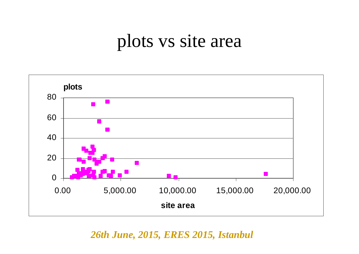### plots vs site area

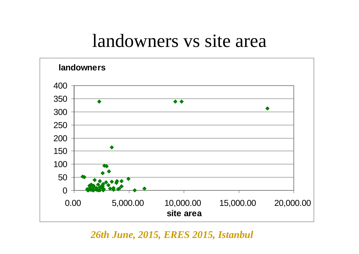### landowners vs site area



*26th June, 2015, ERES 2015, Istanbul*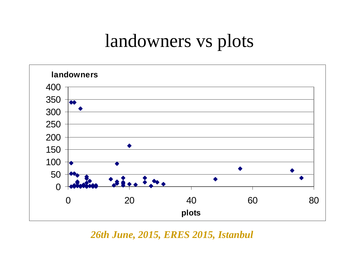## landowners vs plots



*26th June, 2015, ERES 2015, Istanbul*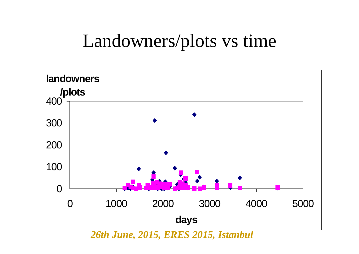## Landowners/plots vs time

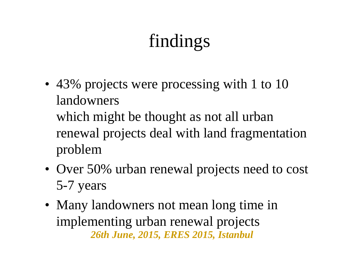# findings

- 43% projects were processing with 1 to 10 landowners which might be thought as not all urban renewal projects deal with land fragmentation problem
- Over 50% urban renewal projects need to cost 5-7 years
- *26th June, 2015, ERES 2015, Istanbul* • Many landowners not mean long time in implementing urban renewal projects